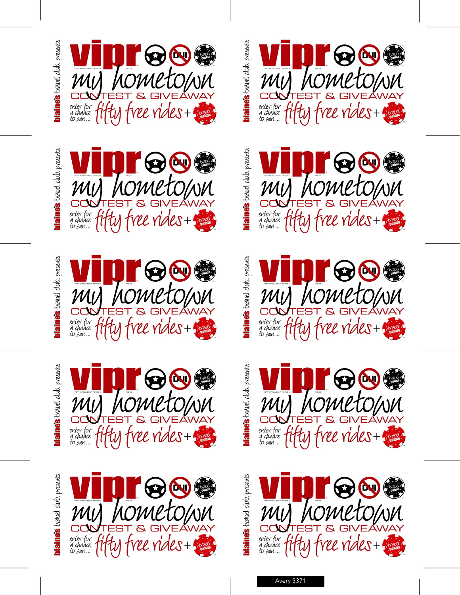